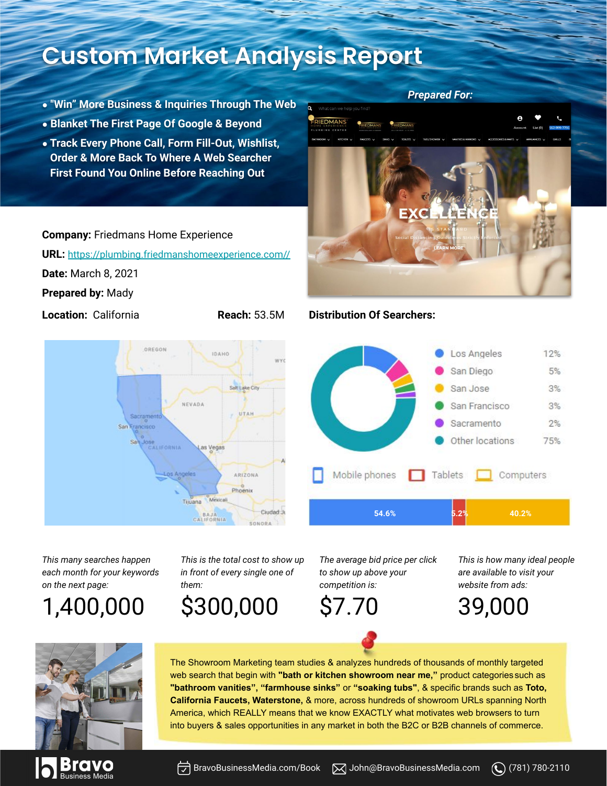## **Custom Market Analysis Report**

- **● "Win" More Business & Inquiries Through The Web**
- **● Blanket The First Page Of Google & Beyond**
- **● Track Every Phone Call, Form Fill-Out, Wishlist, Order & More Back To Where A Web Searcher First Found You Online Before Reaching Out**

### **Company:** Friedmans Home Experience

**URL:** [https://plumbing.friedmanshomeexperience.com//](http://www.faucetsnfixtures.com/)

**Date:** March 8, 2021

**Prepared by:** Mady



RIEDMANS LEN  $5<sub>o</sub>$ 

*Prepared For:*

### **Location:** California **Reach:** 53.5M **Distribution Of Searchers:**



*This many searches happen each month for your keywords on the next page:*

1,400,000

*This is the total cost to show up in front of every single one of them:*

\$300,000

*The average bid price per click to show up above your competition is:*

\$7.70

The Showroom Marketing team studies & analyzes hundreds of thousands of monthly targeted web search that begin with **"bath or kitchen showroom near me,"** product categories such as **"bathroom vanities", "farmhouse sinks"** or **"soaking tubs"**, & specific brands such as **Toto, California Faucets, Waterstone,** & more, across hundreds of showroom URLs spanning North America, which REALLY means that we know EXACTLY what motivates web browsers to turn into buyers & sales opportunities in any market in both the B2C or B2B channels of commerce.

*This is how many ideal people are available to visit your website from ads:*







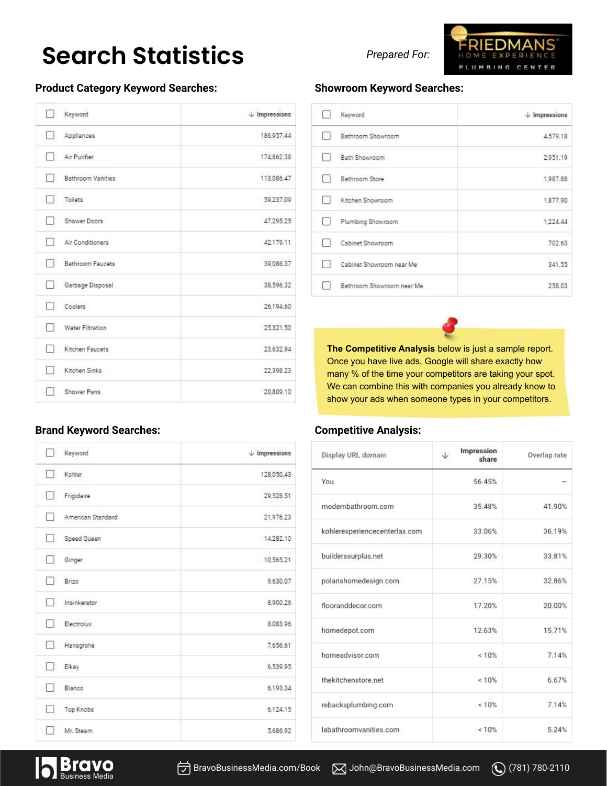## **Search Statistics**

### **Product Category Keyword Searches:**

| Keyword                 | $\downarrow$ Impressions |
|-------------------------|--------------------------|
| Appliances              | 186,957.44               |
| Air Purifier            | 174,862.38               |
| Bathroom Vanities       | 113,086.47               |
| Toilets                 | 59,237.09                |
| Shower Doors            | 47,295.25                |
| Air Conditioners<br>n 1 | 42,179.11                |
| Bathroom Faucets<br>- 1 | 39,086.37                |
| Garbage Disposal        | 38.596.32                |
| Coolers                 | 26,194.60                |
| Water Filtration        | 25,321.50                |
| Kitchen Faucets         | 23,632.94                |
| Kitchen Sinks           | 22,398.23                |
| Shower Pans             | 20,809.10                |

#### **Brand Keyword Searches:**

| Keyword                 | $\downarrow$ Impressions |
|-------------------------|--------------------------|
| Kohler<br>- 1           | 128,050.43               |
| Frigidaire              | 29,528.51                |
| American Standard       | 21,976.23                |
| Speed Queen             | 14,282.10                |
| Ginger                  | 10,565.21                |
| Brizo<br>- 9            | 9,630.07                 |
| Insinkerator<br>- 1     | 8,900.26                 |
| Electrolux              | 8.083.96                 |
| Hansgrohe               | 7,656.61                 |
| Elkay                   | 6,539.95                 |
| Blanco                  | 6,193.34                 |
| <b>Top Knobs</b><br>- 1 | 6,124.15                 |
| Mr. Steam               | 5,686.92                 |

*Prepared For:*



### **Showroom Keyword Searches:**

| Keyword                   | $\downarrow$ Impressions |
|---------------------------|--------------------------|
| Bathroom Showroom         | 4,579.18                 |
| Bath Showroom             | 2.951.19                 |
| Bathroom Store            | 1,987.88                 |
| Kitchen Showroom          | 1,877.90                 |
| Plumbing Showroom         | 1,224.44                 |
| Cabinet Showroom          | 702.63                   |
| Cabinet Showroom near Me  | 341.55                   |
| Bathroom Showroom near Me | 258.03                   |

**The Competitive Analysis** below is just a sample report. Once you have live ads, Google will share exactly how many % of the time your competitors are taking your spot. We can combine this with companies you already know to show your ads when someone types in your competitors.

#### **Competitive Analysis:**

| Display URL domain            | Impression<br>J<br>share | Overlap rate |
|-------------------------------|--------------------------|--------------|
| You                           | 56.45%                   |              |
| modernbathroom.com            | 35 48%                   | 41 90%       |
| kohlerexperiencecenterlax.com | 33.06%                   | 36.19%       |
| builderssurplus.net           | 29.30%                   | 33.81%       |
| polarishomedesign.com         | 27.15%                   | 32.86%       |
| flooranddecor.com             | 17.20%                   | 20.00%       |
| homedepot.com                 | 12 63%                   | 15.71%       |
| homeadvisor.com               | 10%                      | 7.14%        |
| thekitchenstore net           | < 10%                    | 6.67%        |
| rebacksplumbing.com           | < 10%                    | 7.14%        |
| labathroomvanities.com        | < 10%                    | 5.24%        |

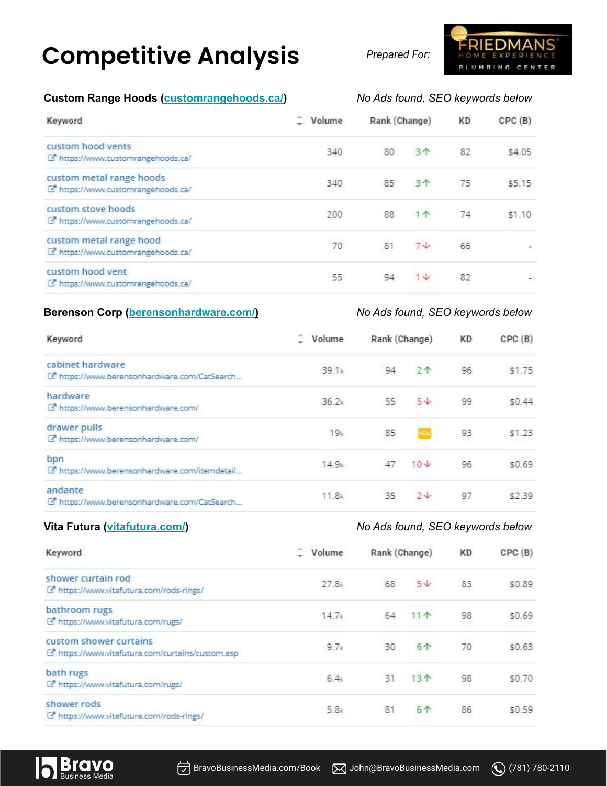# **Competitive Analysis**

*Prepared For:*

### **Custom Range Hoods ([customrangehoods.ca/\)](https://www.customrangehoods.ca/)** *No Ads found, SEO keywords below*

| Keyword                                                        | Volume | Rank (Change) |                | KD | CPC(B)                   |
|----------------------------------------------------------------|--------|---------------|----------------|----|--------------------------|
| custom hood vents<br>C https://www.customrangehoods.ca/        | 340    | 80            | 3个             | 82 | \$4.05                   |
| custom metal range hoods<br>C https://www.customrangehoods.ca/ | 340    | 85            | 3 <sub>0</sub> | 75 | \$5.15                   |
| custom stove hoods<br>C https://www.customrangehoods.ca/       | 200    | 88            | $1 +$          | 74 | \$1.10                   |
| custom metal range hood<br>C https://www.customrangehoods.ca/  | 70     | 81            | $7\sqrt{ }$    | 66 | $\overline{\phantom{a}}$ |
| custom hood vent<br>C https://www.customrangehoods.ca/         | 55.    | 94            | $1 +$          | 82 |                          |

### **Berenson Corp [\(berensonhardware.com/](https://www.berensonhardware.com/)[\)](http://hudsonsluxury.com/))** *No Ads found, SEO keywords below*

| Keyword                                                          | Volume            | Rank (Change) |                              | KD     | CPC(B) |
|------------------------------------------------------------------|-------------------|---------------|------------------------------|--------|--------|
| cabinet hardware<br>E https://www.berensonhardware.com/CatSearch | 39.1k             | 94<br>$2^$    | 96                           | \$1.75 |        |
| hardware<br>E https://www.berensonhardware.com/                  | 36.2k             | 55            | $5\sqrt{ }$                  | 99     | \$0.44 |
| drawer pulls<br>C https://www.berensonhardware.com/              | 19k               | 85            |                              | 93     | \$1.23 |
| bpn<br>L' https://www.berensonhardware.com/itemdetail            | 14.9 <sub>k</sub> |               | $47.10\,\mathrm{\downarrow}$ | 96     | \$0.69 |
| andante<br>Le https://www.berensonhardware.com/CatSearch         | 11.8k             | 35            | $2\sqrt{ }$                  | 97     | \$2.39 |

### **Vita Futura [\(vitafutura.com/\)](https://www.vitafutura.com/)** *No Ads found, SEO keywords below*

| Keyword                                                                    | Volume<br>$27.8*$ | Rank (Change) |             | KD | CPC(B) |
|----------------------------------------------------------------------------|-------------------|---------------|-------------|----|--------|
| shower curtain rod<br>C https://www.vitafutura.com/rods-rings/             |                   | 68            | $5\sqrt{ }$ | 83 | \$0.89 |
| bathroom rugs<br>C https://www.vitafutura.com/rugs/                        | 14.7 <sub>k</sub> | 64            | $11 +$      | 98 | \$0.69 |
| custom shower curtains<br>C https://www.vitafutura.com/curtains/custom.asp | 9.7k              | 30            | 6个          | 70 | \$0.63 |
| bath rugs<br>C https://www.vitafutura.com/rugs/                            | 6.4k              | 31            | 13个         | 98 | \$0.70 |
| shower rods<br>C https://www.vitafutura.com/rods-rings/                    | 5.8k              | 81            | 6个          | 86 | \$0.59 |